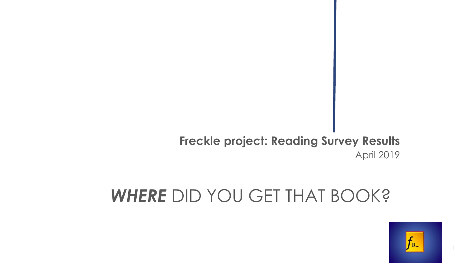## **Freckle project: Reading Survey Results** April 2019

# *WHERE* DID YOU GET THAT BOOK?



1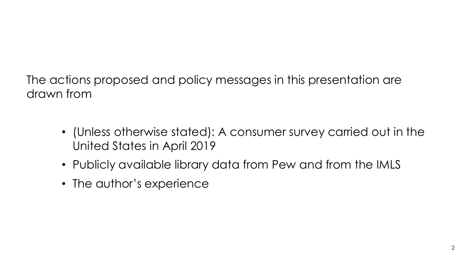The actions proposed and policy messages in this presentation are drawn from

- (Unless otherwise stated): A consumer survey carried out in the United States in April 2019
- Publicly available library data from Pew and from the IMLS
- The author's experience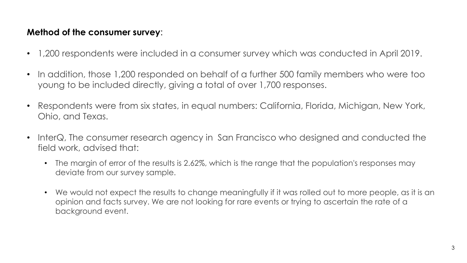#### **Method of the consumer survey**:

- 1,200 respondents were included in a consumer survey which was conducted in April 2019.
- In addition, those 1,200 responded on behalf of a further 500 family members who were too young to be included directly, giving a total of over 1,700 responses.
- Respondents were from six states, in equal numbers: California, Florida, Michigan, New York, Ohio, and Texas.
- InterQ, The consumer research agency in San Francisco who designed and conducted the field work, advised that:
	- The margin of error of the results is 2.62%, which is the range that the population's responses may deviate from our survey sample.
	- We would not expect the results to change meaningfully if it was rolled out to more people, as it is an opinion and facts survey. We are not looking for rare events or trying to ascertain the rate of a background event.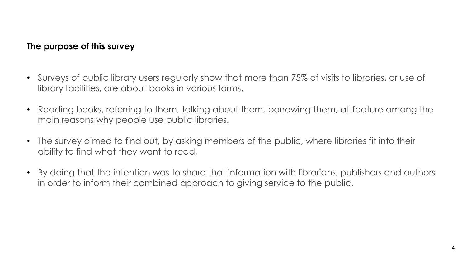#### **The purpose of this survey**

- Surveys of public library users regularly show that more than 75% of visits to libraries, or use of library facilities, are about books in various forms.
- Reading books, referring to them, talking about them, borrowing them, all feature among the main reasons why people use public libraries.
- The survey aimed to find out, by asking members of the public, where libraries fit into their ability to find what they want to read,
- By doing that the intention was to share that information with librarians, publishers and authors in order to inform their combined approach to giving service to the public.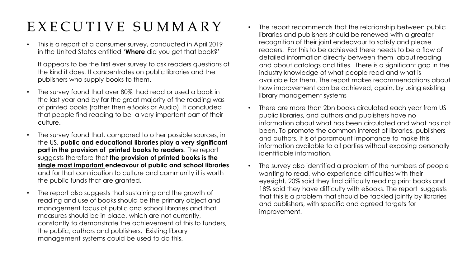## EXECUTIVE SUMMARY

• This is a report of a consumer survey, conducted in April 2019 in the United States entitled '**Where** did you get that book?'

It appears to be the first ever survey to ask readers questions of the kind it does. It concentrates on public libraries and the publishers who supply books to them.

- The survey found that over 80% had read or used a book in the last year and by far the great majority of the reading was of printed books (rather then eBooks or Audio). It concluded that people find reading to be a very important part of their culture.
- The survey found that, compared to other possible sources, in the US, **public and educational libraries play a very significant part in the provision of printed books to readers**. The report suggests therefore that **the provision of printed books is the single most important endeavour of public and school libraries**  and for that contribution to culture and community it is worth the public funds that are granted.
- The report also suggests that sustaining and the growth of reading and use of books should be the primary object and management focus of public and school libraries and that measures should be in place, which are not currently, constantly to demonstrate the achievement of this to funders, the public, authors and publishers. Existing library management systems could be used to do this.
- The report recommends that the relationship between public libraries and publishers should be renewed with a greater recognition of their joint endeavour to satisfy and please readers. For this to be achieved there needs to be a flow of detailed information directly between them about reading and about catalogs and titles. There is a significant gap in the industry knowledge of what people read and what is available for them. The report makes recommendations about how improvement can be achieved, again, by using existing library management systems
- There are more than 2bn books circulated each year from US public libraries, and authors and publishers have no information about what has been circulated and what has not been. To promote the common interest of libraries, publishers and authors, it is of paramount importance to make this information available to all parties without exposing personally identifiable information.
- The survey also identified a problem of the numbers of people wanting to read, who experience difficulties with their eyesight. 20% said they find difficulty reading print books and 18% said they have difficulty with eBooks. The report suggests that this is a problem that should be tackled jointly by libraries and publishers, with specific and agreed targets for improvement.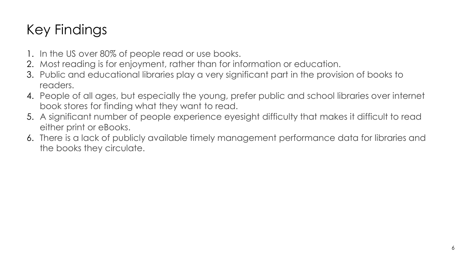## Key Findings

- 1. In the US over 80% of people read or use books.
- 2. Most reading is for enjoyment, rather than for information or education.
- 3. Public and educational libraries play a very significant part in the provision of books to readers.
- 4. People of all ages, but especially the young, prefer public and school libraries over internet book stores for finding what they want to read.
- 5. A significant number of people experience eyesight difficulty that makes it difficult to read either print or eBooks.
- 6. There is a lack of publicly available timely management performance data for libraries and the books they circulate.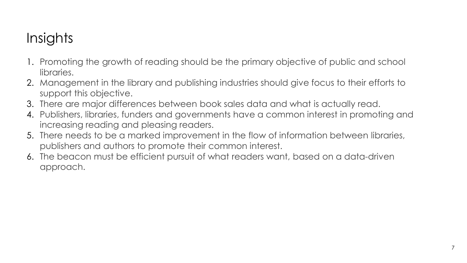## **Insights**

- 1. Promoting the growth of reading should be the primary objective of public and school libraries.
- 2. Management in the library and publishing industries should give focus to their efforts to support this objective.
- 3. There are major differences between book sales data and what is actually read.
- 4. Publishers, libraries, funders and governments have a common interest in promoting and increasing reading and pleasing readers.
- 5. There needs to be a marked improvement in the flow of information between libraries, publishers and authors to promote their common interest.
- 6. The beacon must be efficient pursuit of what readers want, based on a data-driven approach.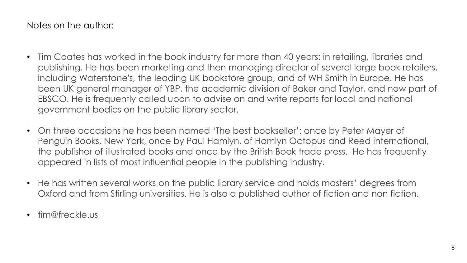Notes on the author:

- Tim Coates has worked in the book industry for more than 40 years: in retailing, libraries and publishing. He has been marketing and then managing director of several large book retailers, including Waterstone's, the leading UK bookstore group, and of WH Smith in Europe. He has been UK general manager of YBP, the academic division of Baker and Taylor, and now part of EBSCO. He is frequently called upon to advise on and write reports for local and national government bodies on the public library sector.
- On three occasions he has been named 'The best bookseller': once by Peter Mayer of Penguin Books, New York, once by Paul Hamlyn, of Hamlyn Octopus and Reed international, the publisher of illustrated books and once by the British Book trade press. He has frequently appeared in lists of most influential people in the publishing industry.
- He has written several works on the public library service and holds masters' degrees from Oxford and from Stirling universities. He is also a published author of fiction and non fiction.
- tim@freckle.us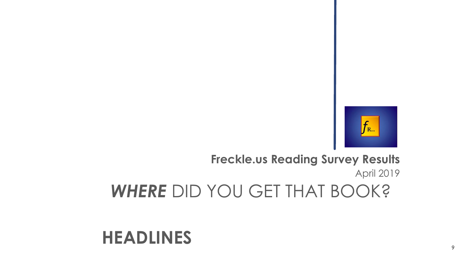

## **Freckle.us Reading Survey Results** April 2019 *WHERE* DID YOU GET THAT BOOK?

## **HEADLINES**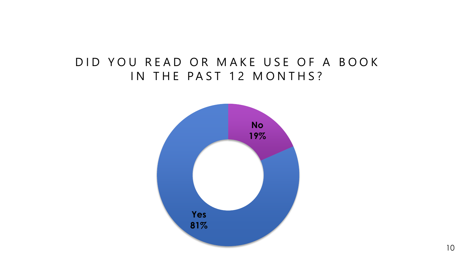## DID YOU READ OR MAKE USE OF A BOOK IN THE PAST 12 MONTHS?

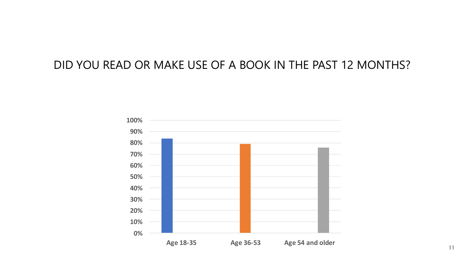### DID YOU READ OR MAKE USE OF A BOOK IN THE PAST 12 MONTHS?

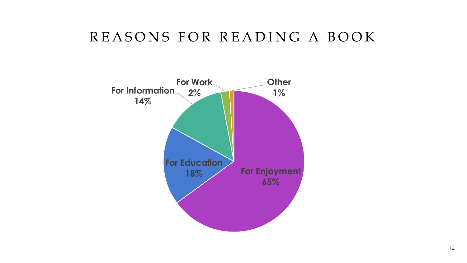## REASONS FOR READING A BOOK

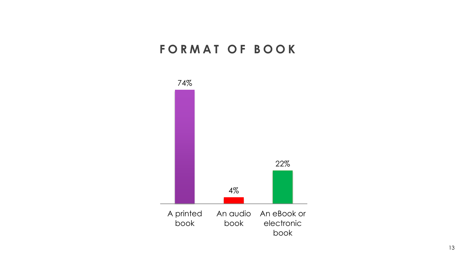## **FORMAT OF BOOK**

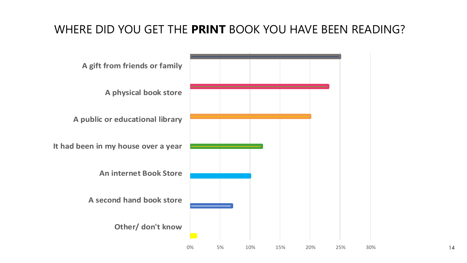### WHERE DID YOU GET THE **PRINT** BOOK YOU HAVE BEEN READING?



14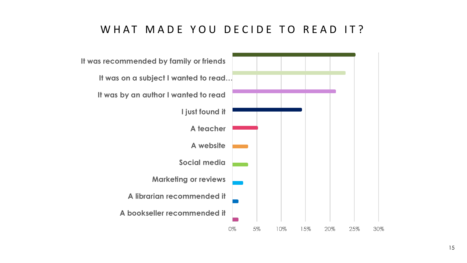#### WHAT MADE YOU DECIDE TO READ IT?

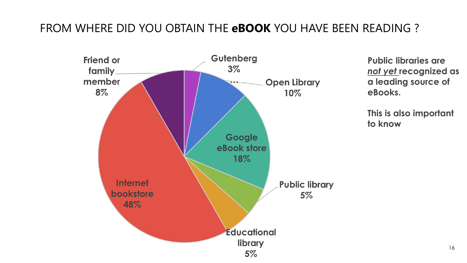## FROM WHERE DID YOU OBTAIN THE **eBOOK** YOU HAVE BEEN READING ?



**Public libraries are**  *not yet* **recognized as a leading source of eBooks.** 

**This is also important to know**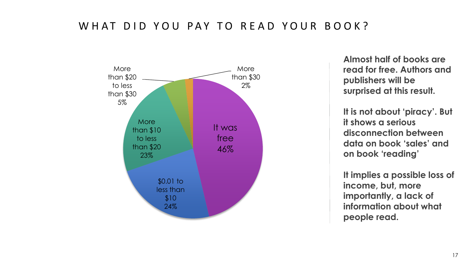#### W HAT DID YOU PAY TO READ YOUR BOOK?



**Almost half of books are read for free. Authors and publishers will be surprised at this result.** 

**It is not about 'piracy'. But it shows a serious disconnection between data on book 'sales' and on book 'reading'**

**It implies a possible loss of income, but, more importantly, a lack of information about what people read.**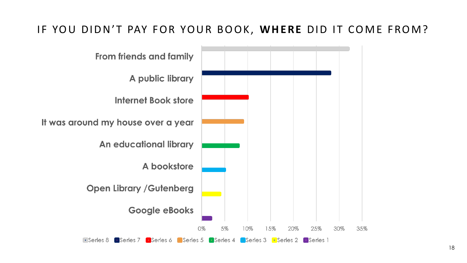### IF YOU DIDN'T PAY FOR YOUR BOOK, WHERE DID IT COME FROM?

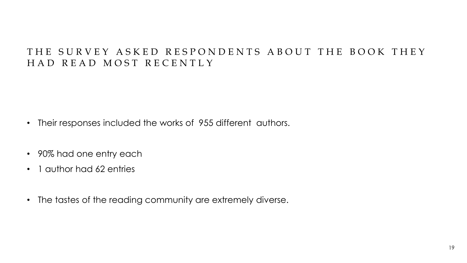#### THE SURVEY ASKED RESPONDENTS ABOUT THE BOOK THEY HAD READ MOST RECENTLY

- Their responses included the works of 955 different authors.
- 90% had one entry each
- 1 author had 62 entries
- The tastes of the reading community are extremely diverse.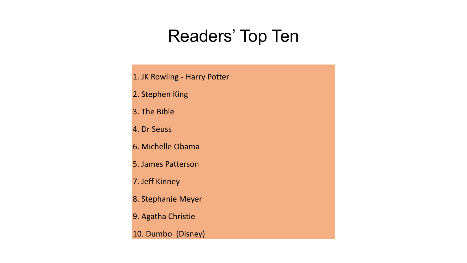# Readers' Top Ten

- 1. JK Rowling Harry Potter
- 2. Stephen King
- 3. The Bible
- 4. Dr Seuss
- 6. Michelle Obama
- 5. James Patterson
- 7. Jeff Kinney
- 8. Stephanie Meyer
- 9. Agatha Christie
- 10. Dumbo (Disney)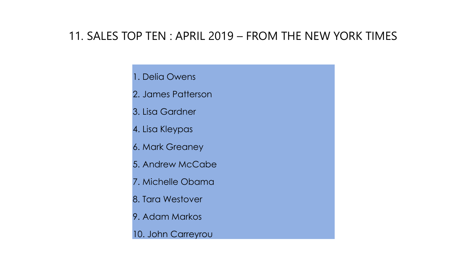### 11. SALES TOP TEN : APRIL 2019 – FROM THE NEW YORK TIMES

#### 1. Delia Owens

- 2. James Patterson
- 3. Lisa Gardner
- 4. Lisa Kleypas
- 6. Mark Greaney
- 5. Andrew McCabe
- 7. Michelle Obama
- 8. Tara Westover
- 9. Adam Markos
- 10. John Carreyrou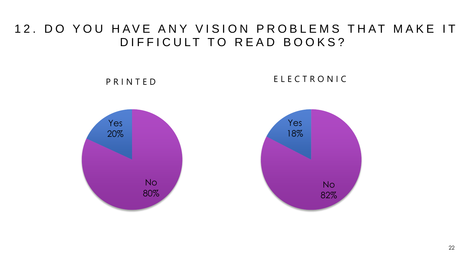### 12. DO YOU HAVE ANY VISION PROBLEMS THAT MAKE IT DIFFICULT TO READ BOOKS?

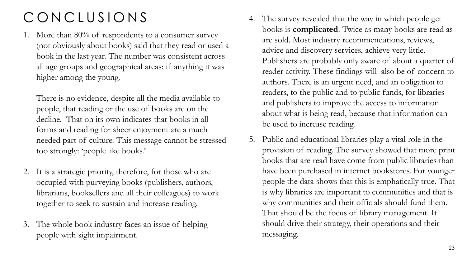## C O N C L U S I O N S

1. More than 80% of respondents to a consumer survey (not obviously about books) said that they read or used a book in the last year. The number was consistent across all age groups and geographical areas: if anything it was higher among the young.

There is no evidence, despite all the media available to people, that reading or the use of books are on the decline. That on its own indicates that books in all forms and reading for sheer enjoyment are a much needed part of culture. This message cannot be stressed too strongly: 'people like books.'

- 2. It is a strategic priority, therefore, for those who are occupied with purveying books (publishers, authors, librarians, booksellers and all their colleagues) to work together to seek to sustain and increase reading.
- 3. The whole book industry faces an issue of helping people with sight impairment.
- 4. The survey revealed that the way in which people get books is **complicated**. Twice as many books are read as are sold. Most industry recommendations, reviews, advice and discovery services, achieve very little. Publishers are probably only aware of about a quarter of reader activity. These findings will also be of concern to authors. There is an urgent need, and an obligation to readers, to the public and to public funds, for libraries and publishers to improve the access to information about what is being read, because that information can be used to increase reading.
- 5. Public and educational libraries play a vital role in the provision of reading. The survey showed that more print books that are read have come from public libraries than have been purchased in internet bookstores. For younger people the data shows that this is emphatically true. That is why libraries are important to communities and that is why communities and their officials should fund them. That should be the focus of library management. It should drive their strategy, their operations and their messaging.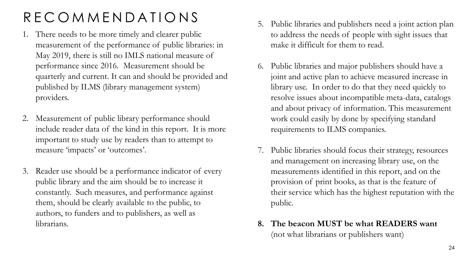## R E C O M M E N D A T I O N S

- 1. There needs to be more timely and clearer public measurement of the performance of public libraries: in May 2019, there is still no IMLS national measure of performance since 2016. Measurement should be quarterly and current. It can and should be provided and published by ILMS (library management system) providers.
- 2. Measurement of public library performance should include reader data of the kind in this report. It is more important to study use by readers than to attempt to measure 'impacts' or 'outcomes'.
- 3. Reader use should be a performance indicator of every public library and the aim should be to increase it constantly. Such measures, and performance against them, should be clearly available to the public, to authors, to funders and to publishers, as well as librarians.
- 5. Public libraries and publishers need a joint action plan to address the needs of people with sight issues that make it difficult for them to read.
- 6. Public libraries and major publishers should have a joint and active plan to achieve measured increase in library use. In order to do that they need quickly to resolve issues about incompatible meta-data, catalogs and about privacy of information. This measurement work could easily by done by specifying standard requirements to ILMS companies.
- 7. Public libraries should focus their strategy, resources and management on increasing library use, on the measurements identified in this report, and on the provision of print books, as that is the feature of their service which has the highest reputation with the public.
- **8. The beacon MUST be what READERS want**  (not what librarians or publishers want)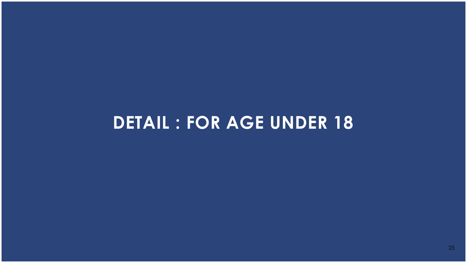# **DETAIL : FOR AGE UNDER 18**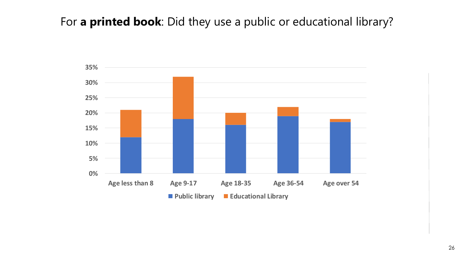## For **a printed book**: Did they use a public or educational library?

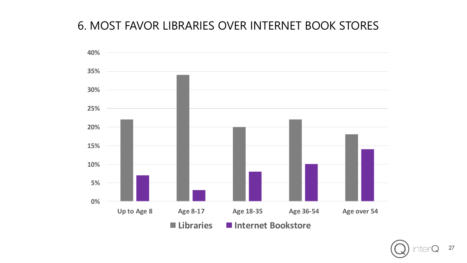## 6. MOST FAVOR LIBRARIES OVER INTERNET BOOK STORES



27 itei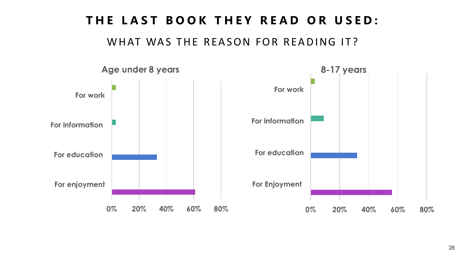## THE LAST BOOK THEY READ OR USED:

WHAT WAS THE REASON FOR READING IT?

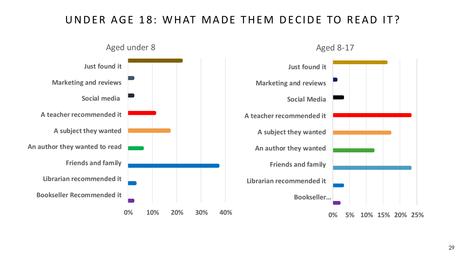### UNDER AGE 18: WHAT MADE THEM DECIDE TO READ IT?

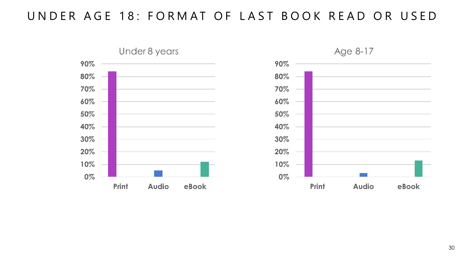## UNDER AGE 18: FORMAT OF LAST BOOK READ OR USED





30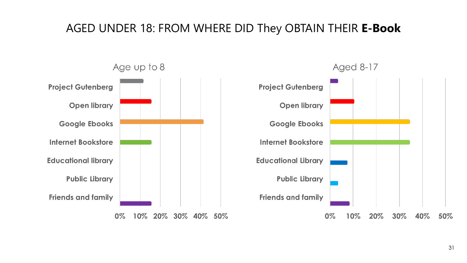### AGED UNDER 18: FROM WHERE DID They OBTAIN THEIR **E-Book**